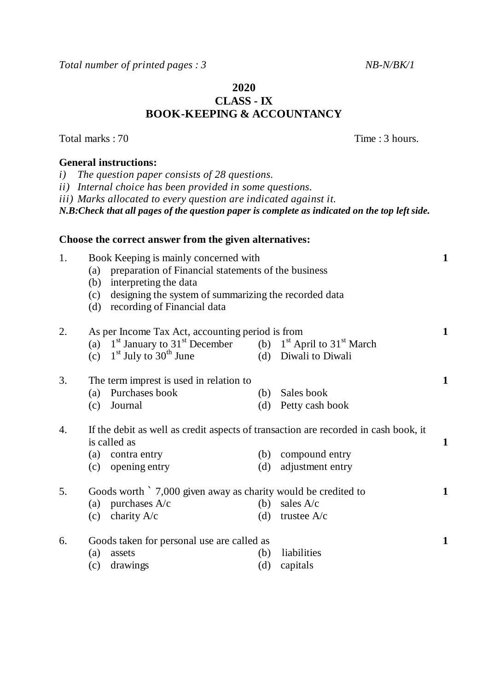*Total number of printed pages : 3* *NB-N/BK/1* 

# **2020 CLASS - IX BOOK-KEEPING & ACCOUNTANCY**

| i)               | <b>General instructions:</b><br>The question paper consists of 28 questions.<br>ii) Internal choice has been provided in some questions.<br>iii) Marks allocated to every question are indicated against it.<br>N.B:Check that all pages of the question paper is complete as indicated on the top left side. |            |                                                                                                                               |              |
|------------------|---------------------------------------------------------------------------------------------------------------------------------------------------------------------------------------------------------------------------------------------------------------------------------------------------------------|------------|-------------------------------------------------------------------------------------------------------------------------------|--------------|
|                  | Choose the correct answer from the given alternatives:                                                                                                                                                                                                                                                        |            |                                                                                                                               |              |
| 1.               | Book Keeping is mainly concerned with<br>(a) preparation of Financial statements of the business<br>interpreting the data<br>(b)<br>designing the system of summarizing the recorded data<br>(c)<br>recording of Financial data<br>(d)                                                                        |            |                                                                                                                               | $\mathbf{1}$ |
| 2.               | As per Income Tax Act, accounting period is from<br>(a) $1st$ January to $31st$ December (b) $1st$ April to $31st$ March<br>(c) $1st$ July to $30th$ June                                                                                                                                                     |            | (d) Diwali to Diwali                                                                                                          | $\mathbf{1}$ |
| 3.               | The term imprest is used in relation to<br>(a) Purchases book<br>(c) Journal                                                                                                                                                                                                                                  |            | (b) Sales book<br>(d) Petty cash book                                                                                         | $\mathbf{1}$ |
| $\overline{4}$ . | is called as<br>(a) contra entry<br>(c) opening entry                                                                                                                                                                                                                                                         | (d)        | If the debit as well as credit aspects of transaction are recorded in cash book, it<br>(b) compound entry<br>adjustment entry | $\mathbf{1}$ |
| 5.               | Goods worth `7,000 given away as charity would be credited to<br>purchases A/c<br>(a)<br>(c) charity $A/c$                                                                                                                                                                                                    |            | (b) sales $A/c$<br>(d) trustee $A/c$                                                                                          | $\mathbf{1}$ |
| 6.               | Goods taken for personal use are called as<br>(a)<br>assets<br>(c)<br>drawings                                                                                                                                                                                                                                | (b)<br>(d) | liabilities<br>capitals                                                                                                       | $\mathbf{1}$ |

Total marks : 70 Time : 3 hours.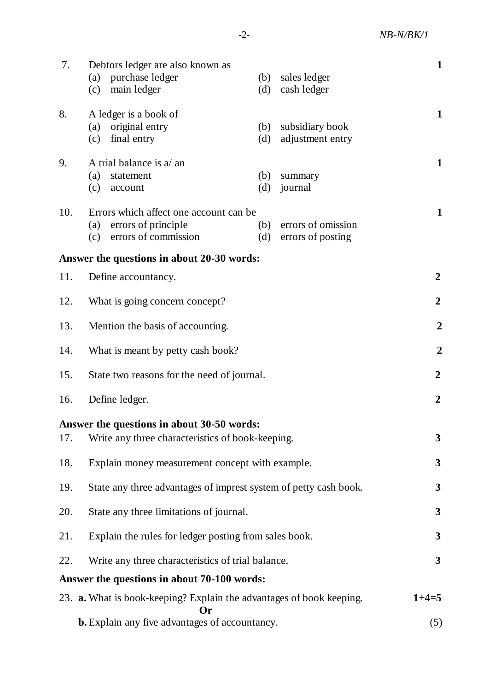-2- *NB-N/BK/1*

| 7.                                                    | Debtors ledger are also known as<br>purchase ledger<br>(a)<br>main ledger<br>(c)                    | (b)<br>(d) | sales ledger<br>cash ledger             | $\mathbf{1}$     |  |
|-------------------------------------------------------|-----------------------------------------------------------------------------------------------------|------------|-----------------------------------------|------------------|--|
| 8.                                                    | A ledger is a book of<br>original entry<br>(a)<br>final entry<br>(c)                                | (b)<br>(d) | subsidiary book<br>adjustment entry     | $\mathbf{1}$     |  |
| 9.                                                    | A trial balance is a/ an<br>(a)<br>statement<br>(c)<br>account                                      | (b)<br>(d) | summary<br>journal                      | $\mathbf{1}$     |  |
| 10.                                                   | Errors which affect one account can be<br>errors of principle<br>(a)<br>errors of commission<br>(c) | (b)<br>(d) | errors of omission<br>errors of posting | $\mathbf{1}$     |  |
|                                                       | Answer the questions in about 20-30 words:                                                          |            |                                         |                  |  |
| 11.                                                   | Define accountancy.                                                                                 |            |                                         | $\boldsymbol{2}$ |  |
| 12.                                                   | What is going concern concept?                                                                      |            |                                         |                  |  |
| 13.                                                   | Mention the basis of accounting.                                                                    |            |                                         |                  |  |
| 14.<br>What is meant by petty cash book?              |                                                                                                     |            |                                         | $\overline{2}$   |  |
| 15.<br>State two reasons for the need of journal.     |                                                                                                     |            | $\boldsymbol{2}$                        |                  |  |
| Define ledger.<br>16.                                 |                                                                                                     |            |                                         | $\overline{2}$   |  |
| 17.                                                   | Answer the questions in about 30-50 words:<br>Write any three characteristics of book-keeping.      |            |                                         | 3                |  |
|                                                       |                                                                                                     | 3          |                                         |                  |  |
| 18.                                                   | Explain money measurement concept with example.                                                     |            |                                         |                  |  |
| 19.                                                   | State any three advantages of imprest system of petty cash book.                                    |            |                                         |                  |  |
| 20.                                                   | State any three limitations of journal.                                                             |            |                                         |                  |  |
| 21.                                                   | Explain the rules for ledger posting from sales book.                                               |            |                                         |                  |  |
| 22.                                                   | Write any three characteristics of trial balance.                                                   |            |                                         | 3                |  |
|                                                       | Answer the questions in about 70-100 words:                                                         |            |                                         |                  |  |
|                                                       | 23. <b>a.</b> What is book-keeping? Explain the advantages of book keeping.<br>Or)                  |            |                                         | $1+4=5$          |  |
| <b>b.</b> Explain any five advantages of accountancy. |                                                                                                     |            |                                         | (5)              |  |